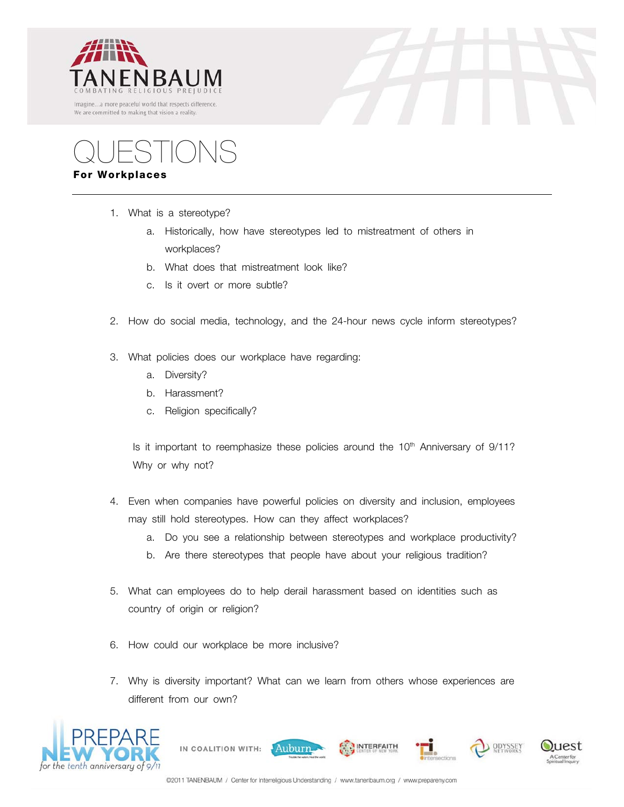



QUESTIONS **For Workplaces**

- 1. What is a stereotype?
	- a. Historically, how have stereotypes led to mistreatment of others in workplaces?
	- b. What does that mistreatment look like?
	- c. Is it overt or more subtle?
- 2. How do social media, technology, and the 24-hour news cycle inform stereotypes?
- 3. What policies does our workplace have regarding:
	- a. Diversity?
	- b. Harassment?
	- c. Religion specifically?

Is it important to reemphasize these policies around the  $10<sup>th</sup>$  Anniversary of  $9/11$ ? Why or why not?

- 4. Even when companies have powerful policies on diversity and inclusion, employees may still hold stereotypes. How can they affect workplaces?
	- a. Do you see a relationship between stereotypes and workplace productivity?
	- b. Are there stereotypes that people have about your religious tradition?
- 5. What can employees do to help derail harassment based on identities such as country of origin or religion?
- 6. How could our workplace be more inclusive?

IN COALITION WITH:

7. Why is diversity important? What can we learn from others whose experiences are different from our own?



Auburn

**INTERFAITH** 

ODYSSEY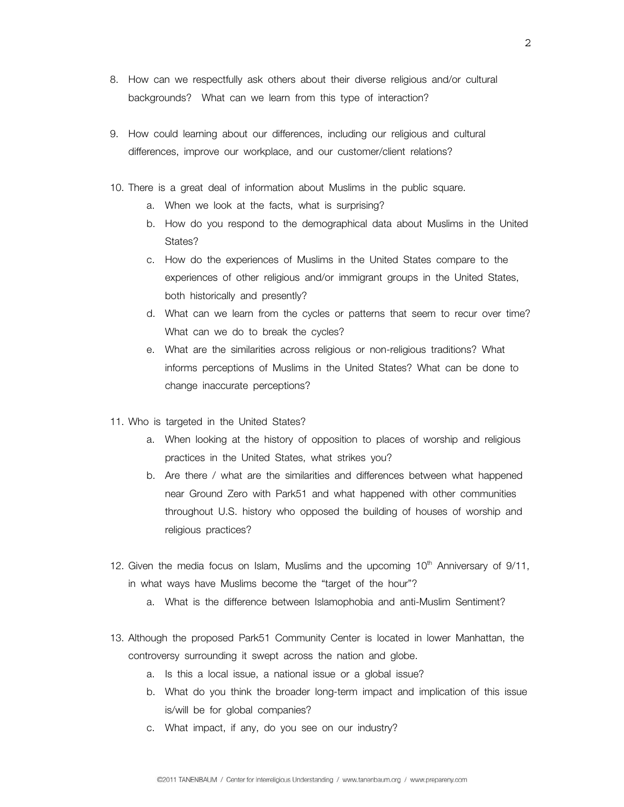- 8. How can we respectfully ask others about their diverse religious and/or cultural backgrounds? What can we learn from this type of interaction?
- 9. How could learning about our differences, including our religious and cultural differences, improve our workplace, and our customer/client relations?
- 10. There is a great deal of information about Muslims in the public square.
	- a. When we look at the facts, what is surprising?
	- b. How do you respond to the demographical data about Muslims in the United States?
	- c. How do the experiences of Muslims in the United States compare to the experiences of other religious and/or immigrant groups in the United States, both historically and presently?
	- d. What can we learn from the cycles or patterns that seem to recur over time? What can we do to break the cycles?
	- e. What are the similarities across religious or non-religious traditions? What informs perceptions of Muslims in the United States? What can be done to change inaccurate perceptions?
- 11. Who is targeted in the United States?
	- a. When looking at the history of opposition to places of worship and religious practices in the United States, what strikes you?
	- b. Are there / what are the similarities and differences between what happened near Ground Zero with Park51 and what happened with other communities throughout U.S. history who opposed the building of houses of worship and religious practices?
- 12. Given the media focus on Islam, Muslims and the upcoming  $10<sup>th</sup>$  Anniversary of  $9/11$ , in what ways have Muslims become the "target of the hour"?
	- a. What is the difference between Islamophobia and anti-Muslim Sentiment?
- 13. Although the proposed Park51 Community Center is located in lower Manhattan, the controversy surrounding it swept across the nation and globe.
	- a. Is this a local issue, a national issue or a global issue?
	- b. What do you think the broader long-term impact and implication of this issue is/will be for global companies?
	- c. What impact, if any, do you see on our industry?